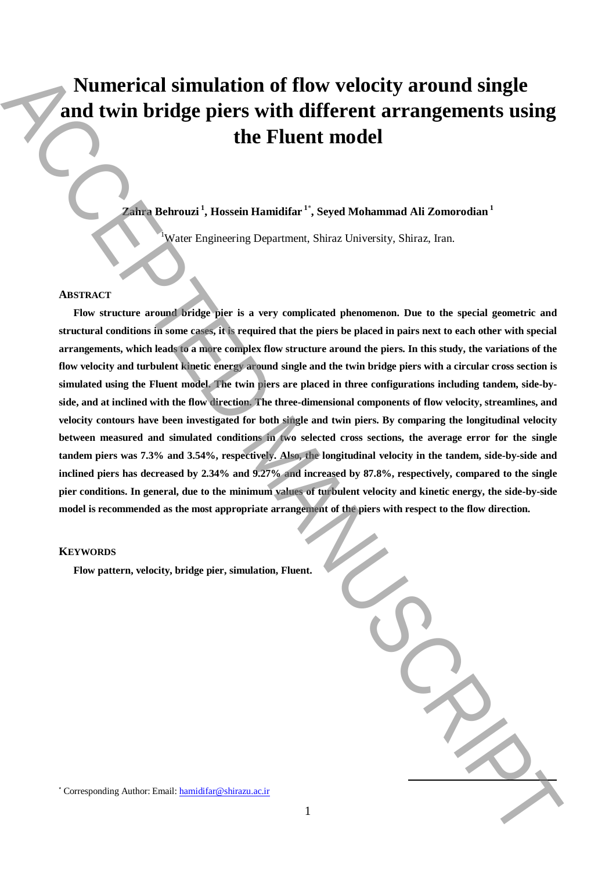# **Numerical simulation of flow velocity around single and twin bridge piers with different arrangements using the Fluent model**

# **Zahra Behrouzi <sup>1</sup> , Hossein Hamidifar <sup>1</sup>**\* **, Seyed Mohammad Ali Zomorodian <sup>1</sup>**

<sup>1</sup>Water Engineering Department, Shiraz University, Shiraz, Iran.

#### **ABSTRACT**

**Flow structure around bridge pier is a very complicated phenomenon. Due to the special geometric and structural conditions in some cases, it is required that the piers be placed in pairs next to each other with special arrangements, which leads to a more complex flow structure around the piers. In this study, the variations of the flow velocity and turbulent kinetic energy around single and the twin bridge piers with a circular cross section is simulated using the Fluent model. The twin piers are placed in three configurations including tandem, side-byside, and at inclined with the flow direction. The three-dimensional components of flow velocity, streamlines, and velocity contours have been investigated for both single and twin piers. By comparing the longitudinal velocity between measured and simulated conditions in two selected cross sections, the average error for the single tandem piers was 7.3% and 3.54%, respectively. Also, the longitudinal velocity in the tandem, side-by-side and inclined piers has decreased by 2.34% and 9.27% and increased by 87.8%, respectively, compared to the single pier conditions. In general, due to the minimum values of turbulent velocity and kinetic energy, the side-by-side model is recommended as the most appropriate arrangement of the piers with respect to the flow direction.** Numerical simulation of flow velocity around single<br>
and twin bridge piers with different arrangements using<br>
the Fluent model<br>  $\frac{1}{2}$  and  $\frac{1}{2}$  and  $\frac{1}{2}$  and  $\frac{1}{2}$  and  $\frac{1}{2}$  and  $\frac{1}{2}$  and  $\frac{1}{2}$ 

### **KEYWORDS**

**Flow pattern, velocity, bridge pier, simulation, Fluent.**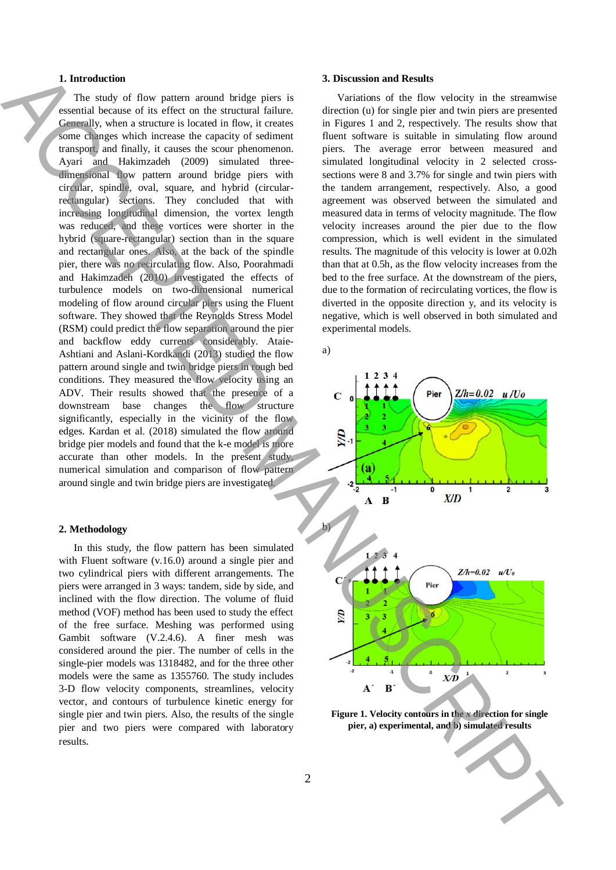# **1. Introduction**

The study of flow pattern around bridge piers is essential because of its effect on the structural failure. Generally, when a structure is located in flow, it creates some changes which increase the capacity of sediment transport, and finally, it causes the scour phenomenon. Ayari and Hakimzadeh (2009) simulated threedimensional flow pattern around bridge piers with circular, spindle, oval, square, and hybrid (circularrectangular) sections. They concluded that with increasing longitudinal dimension, the vortex length was reduced, and these vortices were shorter in the hybrid (square-rectangular) section than in the square and rectangular ones. Also, at the back of the spindle pier, there was no recirculating flow. Also, Poorahmadi and Hakimzadeh (2010) investigated the effects of turbulence models on two-dimensional numerical modeling of flow around circular piers using the Fluent software. They showed that the Reynolds Stress Model (RSM) could predict the flow separation around the pier and backflow eddy currents considerably. Ataie-Ashtiani and Aslani-Kordkandi (2013) studied the flow pattern around single and twin bridge piers in rough bed conditions. They measured the flow velocity using an ADV. Their results showed that the presence of a downstream base changes the flow structure significantly, especially in the vicinity of the flow edges. Kardan et al. (2018) simulated the flow around bridge pier models and found that the k-e model is more accurate than other models. In the present study, numerical simulation and comparison of flow pattern around single and twin bridge piers are investigated. **1.** Interesting these pairs are set of the sphere and leads. A December of the signal and the sphere of the sphere of the sphere of the sphere of the sphere of the sphere of the sphere of the sphere of the sphere of the

# **2. Methodology**

In this study, the flow pattern has been simulated with Fluent software (v.16.0) around a single pier and two cylindrical piers with different arrangements. The piers were arranged in 3 ways: tandem, side by side, and inclined with the flow direction. The volume of fluid method (VOF) method has been used to study the effect of the free surface. Meshing was performed using Gambit software (V.2.4.6). A finer mesh was considered around the pier. The number of cells in the single-pier models was 1318482, and for the three other models were the same as 1355760. The study includes 3-D flow velocity components, streamlines, velocity vector, and contours of turbulence kinetic energy for single pier and twin piers. Also, the results of the single pier and two piers were compared with laboratory results.

# **3. Discussion and Results**

Variations of the flow velocity in the streamwise direction (u) for single pier and twin piers are presented in Figures 1 and 2, respectively. The results show that fluent software is suitable in simulating flow around piers. The average error between measured and simulated longitudinal velocity in 2 selected crosssections were 8 and 3.7% for single and twin piers with the tandem arrangement, respectively. Also, a good agreement was observed between the simulated and measured data in terms of velocity magnitude. The flow velocity increases around the pier due to the flow compression, which is well evident in the simulated results. The magnitude of this velocity is lower at 0.02h than that at 0.5h, as the flow velocity increases from the bed to the free surface. At the downstream of the piers, due to the formation of recirculating vortices, the flow is diverted in the opposite direction y, and its velocity is negative, which is well observed in both simulated and experimental models.

a)